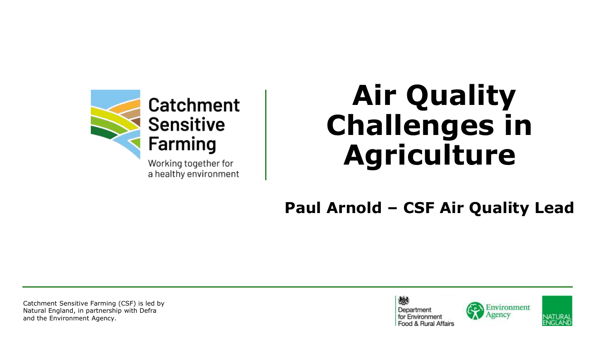

### **Air Quality Challenges in Agriculture**

**Paul Arnold – CSF Air Quality Lead**

Catchment Sensitive Farming (CSF) is led by Natural England, in partnership with Defra and the Environment Agency.





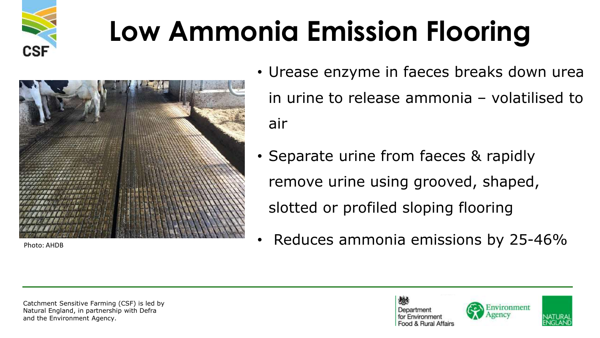



- Urease enzyme in faeces breaks down urea in urine to release ammonia – volatilised to air
- Separate urine from faeces & rapidly remove urine using grooved, shaped, slotted or profiled sloping flooring
- $\bullet$  Reduces ammonia emissions by 25-46%

Catchment Sensitive Farming (CSF) is led by Natural England, in partnership with Defra and the Environment Agency.





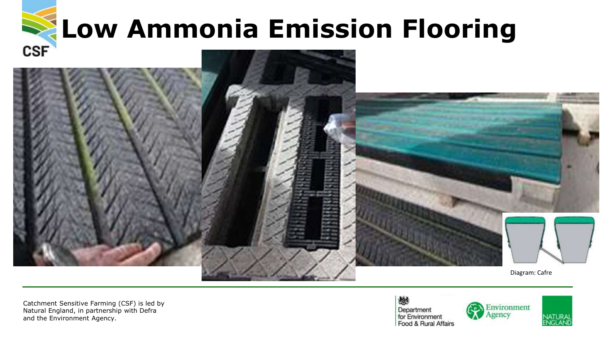

Catchment Sensitive Farming (CSF) is led by Natural England, in partnership with Defra and the Environment Agency.

燃 Department for Environment Food & Rural Affairs



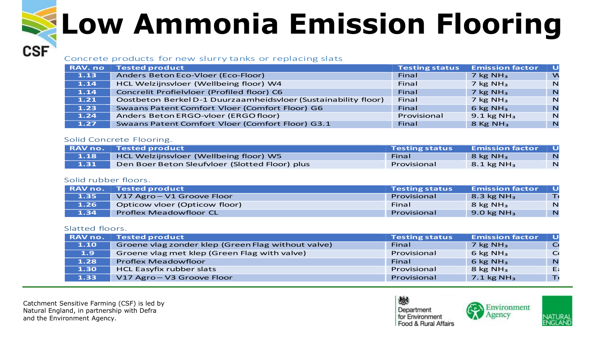### Concrete products for new slurry tanks or replacing slats

| <b>RAV.no</b> | <b>Tested product</b>                                          | <b>Testing status</b> | <b>Emission factor</b> |             |
|---------------|----------------------------------------------------------------|-----------------------|------------------------|-------------|
| 1.13          | Anders Beton Eco-Vloer (Eco-Floor)                             | Final                 | $7$ kg NH <sub>3</sub> |             |
| 1.14          | HCL Welzijnsvloer (Wellbeing floor) W4                         | Final                 | $7$ kg NH <sub>3</sub> |             |
| 1.14          | Concrelit Profielvloer (Profiled floor) C6                     | Final                 | $7$ kg NH <sub>3</sub> | N           |
| 1.21          | Oostbeton Berkel D-1 Duurzaamheidsvloer (Sustainability floor) | Final                 | 7 kg $NH3$             |             |
| 1.23          | Swaans Patent Comfort Vloer (Comfort Floor) G6                 | Final                 | 6 kg $NH3$             | N           |
| 1.24          | Anders Beton ERGO-vloer (ERGO floor)                           | Provisional           | 9.1 kg NH <sub>3</sub> | <b>N</b>    |
| 1.27          | <b>Swaans Patent Comfort Vloer (Comfort Floor) G3.1</b>        | Final                 | $8$ Kg NH <sub>3</sub> | $\mathbf N$ |

### Solid Concrete Flooring.

| <b>RAV no.</b> | $\blacktriangle$ Tested product $\blacktriangle$ | <b>Testing status</b> | <b>Emission factor</b> |                |
|----------------|--------------------------------------------------|-----------------------|------------------------|----------------|
| 1.18           | HCL Welzijnsvloer (Wellbeing floor) W5           | Final                 | $8$ kg NH <sub>3</sub> | $\overline{N}$ |
| 1.31           | Den Boer Beton Sleufvloer (Slotted Floor) plus   | Provisional           | $8.1 \text{ kg NH}_3$  | N              |

### Solid rubber floors.

| RAV no. | <b>Tested product</b>         | <b>Testing status</b> | <b>Emission factor</b> |   |
|---------|-------------------------------|-----------------------|------------------------|---|
| 1.35    | V17 Agro-V1 Groove Floor      | Provisional           | 8.3 kg $NH3$           |   |
| 1.26    | Opticow vloer (Opticow floor) | Final                 | $8$ kg NH <sub>3</sub> | N |
| 1.34    | <b>Proflex Meadowfloor CL</b> | Provisional           | 9.0 kg $NH3$           | N |

### Slatted floors.

**CSF** 

| RAV no. | <b>Tested product</b>                              | <b>Testing status</b> | <b>Emission factor</b>   |             |
|---------|----------------------------------------------------|-----------------------|--------------------------|-------------|
| 1.10    | Groene vlag zonder klep (Green Flag without valve) | Final                 | $7$ kg NH <sub>3</sub>   |             |
| 1.9     | Groene vlag met klep (Green Flag with valve)       | Provisional           | 6 kg $NH3$               |             |
| 1.28    | <b>Proflex Meadowfloor</b>                         | Final                 | 6 kg $NH3$               | $\mathbb N$ |
| 1.30    | HCL Easyfix rubber slats                           | Provisional           | 8 kg $NH3$               | E.          |
| 1.33    | V17 Agro-V3 Groove Floor                           | Provisional           | $7.1$ kg NH <sub>3</sub> |             |

Catchment Sensitive Farming (CSF) is led by Natural England, in partnership with Defra and the Environment Agency.